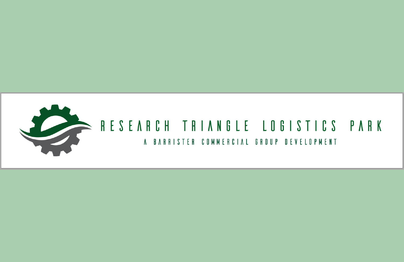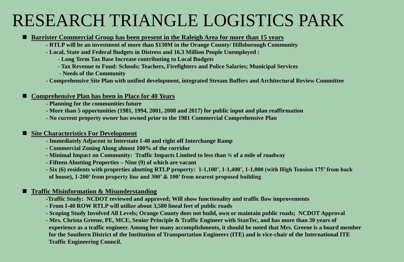# RESEARCH TRIANGLE LOGISTICS PARK

### **Barrister Commercial Group has been present in the Raleigh Area for more than 15 years**

- **- RTLP will be an investment of more than \$130M in the Orange County/ Hillsborough Community**
- **- Local, State and Federal Budgets in Distress and 16.3 Million People Unemployed :** 
	- **- Long Term Tax Base Increase contributing to Local Budgets**
	- **- Tax Revenue to Fund: Schools; Teachers, Firefighters and Police Salaries; Municipal Services**
	- **- Needs of the Community**
- **- Comprehensive Site Plan with unified development, integrated Stream Buffers and Architectural Review Committee**

#### ■ Comprehensive Plan has been in Place for 40 Years

- **- Planning for the communities future**
- **- More than 5 opportunities (1981, 1994, 2001, 2008 and 2017) for public input and plan reaffirmation**
- **- No current property owner has owned prior to the 1981 Commercial Comprehensive Plan**

#### ■ Site Characteristics For Development

- **- Immediately Adjacent to Interstate I-40 and right off Interchange Ramp**
- **- Commercial Zoning Along almost 100% of the corridor**
- **- Minimal Impact on Community: Traffic Impacts Limited to less than ¾ of a mile of roadway**
- **- Fifteen Abutting Properties – Nine (9) of which are vacant**
- **- Six (6) residents with properties abutting RTLP property: 1-1,100', 1-1,400', 1-1,000 (with High Tension 175' from back of house), 1-200' from property line and 300' & 100' from nearest proposed building**

#### ■ **Traffic Misinformation & Misunderstanding**

- **-Traffic Study: NCDOT reviewed and approved; Will show functionality and traffic flow improvements**
- **- From I-40 ROW RTLP will utilize about 3,580 lineal feet of public roads**
- **- Scoping Study Involved All Levels; Orange County does not build, own or maintain public roads; NCDOT Approval**
- **- Mrs. Christa Greene, PE, MCE, Senior Principle & Traffic Engineer with StanTec, and has more than 30 years of experience as a traffic engineer. Among her many accomplishments, it should be noted that Mrs. Greene is a board member for the Southern District of the Institution of Transportation Engineers (ITE) and is vice-chair of the International ITE Traffic Engineering Council.**

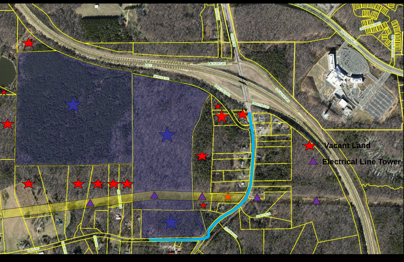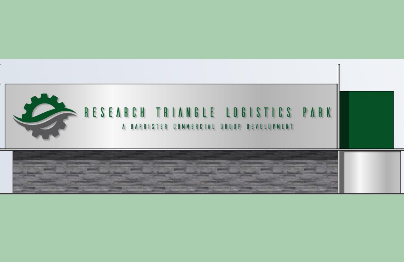

## RESEARCH TRIANGLE LOGISTICS PARK A BARRISTER COMMERCIAL GROUP DEVELOPMENT